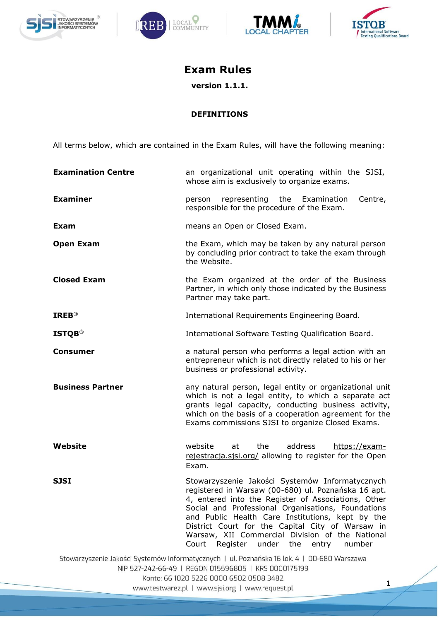







# **Exam Rules**

**version 1.1.1.**

### **DEFINITIONS**

All terms below, which are contained in the Exam Rules, will have the following meaning:

| <b>Examination Centre</b>                                                                                                                                                                      | an organizational unit operating within the SJSI,<br>whose aim is exclusively to organize exams.                                                                                                                                                                                                                                                                                                                                 |
|------------------------------------------------------------------------------------------------------------------------------------------------------------------------------------------------|----------------------------------------------------------------------------------------------------------------------------------------------------------------------------------------------------------------------------------------------------------------------------------------------------------------------------------------------------------------------------------------------------------------------------------|
| <b>Examiner</b>                                                                                                                                                                                | representing the Examination<br>Centre,<br>person<br>responsible for the procedure of the Exam.                                                                                                                                                                                                                                                                                                                                  |
| Exam                                                                                                                                                                                           | means an Open or Closed Exam.                                                                                                                                                                                                                                                                                                                                                                                                    |
| <b>Open Exam</b>                                                                                                                                                                               | the Exam, which may be taken by any natural person<br>by concluding prior contract to take the exam through<br>the Website.                                                                                                                                                                                                                                                                                                      |
| <b>Closed Exam</b>                                                                                                                                                                             | the Exam organized at the order of the Business<br>Partner, in which only those indicated by the Business<br>Partner may take part.                                                                                                                                                                                                                                                                                              |
| <b>IREB®</b>                                                                                                                                                                                   | International Requirements Engineering Board.                                                                                                                                                                                                                                                                                                                                                                                    |
| <b>ISTQB®</b>                                                                                                                                                                                  | International Software Testing Qualification Board.                                                                                                                                                                                                                                                                                                                                                                              |
| Consumer                                                                                                                                                                                       | a natural person who performs a legal action with an<br>entrepreneur which is not directly related to his or her<br>business or professional activity.                                                                                                                                                                                                                                                                           |
| <b>Business Partner</b>                                                                                                                                                                        | any natural person, legal entity or organizational unit<br>which is not a legal entity, to which a separate act<br>grants legal capacity, conducting business activity,<br>which on the basis of a cooperation agreement for the<br>Exams commissions SJSI to organize Closed Exams.                                                                                                                                             |
| Website                                                                                                                                                                                        | website<br>the<br>address<br>https://exam-<br>at<br>rejestracja.sjsi.org/ allowing to register for the Open<br>Exam.                                                                                                                                                                                                                                                                                                             |
| <b>SJSI</b>                                                                                                                                                                                    | Stowarzyszenie Jakości Systemów Informatycznych<br>registered in Warsaw (00-680) ul. Poznańska 16 apt.<br>4, entered into the Register of Associations, Other<br>Social and Professional Organisations, Foundations<br>and Public Health Care Institutions, kept by the<br>District Court for the Capital City of Warsaw in<br>Warsaw, XII Commercial Division of the National<br>Register under the<br>Court<br>entry<br>number |
| Stowarzyszenie Jakości Systemów Informatycznych   ul. Poznańska 16 lok. 4   00-680 Warszawa<br>NIP 527-242-66-49   REGON 015596805   KRS 0000175199<br>Konto: 66 1020 5226 0000 6502 0508 3482 |                                                                                                                                                                                                                                                                                                                                                                                                                                  |
| 1<br>www.testwarez.pl   www.sjsi.org   www.request.pl                                                                                                                                          |                                                                                                                                                                                                                                                                                                                                                                                                                                  |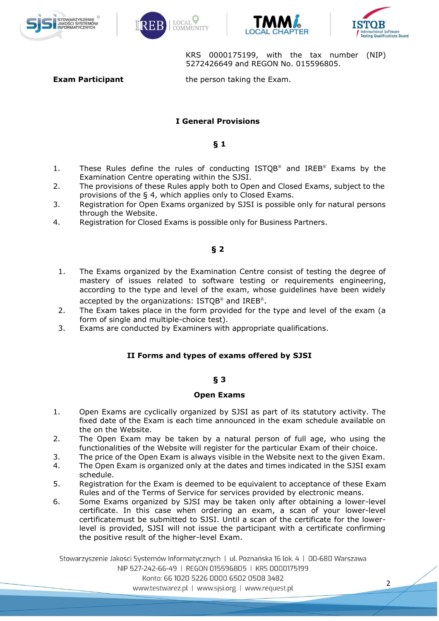







KRS 0000175199, with the tax number (NIP) 5272426649 and REGON No. 015596805.

**Exam Participant** the person taking the Exam.

### **I General Provisions**

#### **§ 1**

- 1. These Rules define the rules of conducting ISTQB® and IREB® Exams by the Examination Centre operating within the SJSI.
- 2. The provisions of these Rules apply both to Open and Closed Exams, subject to the provisions of the § 4, which applies only to Closed Exams.
- 3. Registration for Open Exams organized by SJSI is possible only for natural persons through the Website.
- 4. Registration for Closed Exams is possible only for Business Partners.

### **§ 2**

- 1. The Exams organized by the Examination Centre consist of testing the degree of mastery of issues related to software testing or requirements engineering, according to the type and level of the exam, whose guidelines have been widely accepted by the organizations: ISTQB® and IREB®.
- 2. The Exam takes place in the form provided for the type and level of the exam (a form of single and multiple-choice test).
- 3. Exams are conducted by Examiners with appropriate qualifications.

### **II Forms and types of exams offered by SJSI**

### **§ 3**

#### **Open Exams**

- 1. Open Exams are cyclically organized by SJSI as part of its statutory activity. The fixed date of the Exam is each time announced in the exam schedule available on the on the Website.
- 2. The Open Exam may be taken by a natural person of full age, who using the functionalities of the Website will register for the particular Exam of their choice.
- 3. The price of the Open Exam is always visible in the Website next to the given Exam.
- 4. The Open Exam is organized only at the dates and times indicated in the SJSI exam schedule.
- 5. Registration for the Exam is deemed to be equivalent to acceptance of these Exam Rules and of the Terms of Service for services provided by electronic means.
- 6. Some Exams organized by SJSI may be taken only after obtaining a lower-level certificate. In this case when ordering an exam, a scan of your lower-level certificatemust be submitted to SJSI. Until a scan of the certificate for the lowerlevel is provided, SJSI will not issue the participant with a certificate confirming the positive result of the higher-level Exam.

Stowarzyszenie Jakości Systemów Informatycznych | ul. Poznańska 16 lok. 4 | 00-680 Warszawa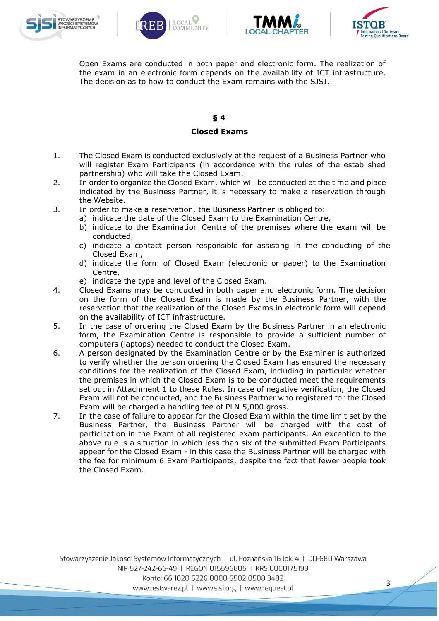







Open Exams are conducted in both paper and electronic form. The realization of the exam in an electronic form depends on the availability of ICT infrastructure. The decision as to how to conduct the Exam remains with the SJSI.

### **§ 4**

### **Closed Exams**

- 1. The Closed Exam is conducted exclusively at the request of a Business Partner who will register Exam Participants (in accordance with the rules of the established partnership) who will take the Closed Exam.
- 2. In order to organize the Closed Exam, which will be conducted at the time and place indicated by the Business Partner, it is necessary to make a reservation through the Website.
- 3. In order to make a reservation, the Business Partner is obliged to:
	- a) indicate the date of the Closed Exam to the Examination Centre,
	- b) indicate to the Examination Centre of the premises where the exam will be conducted,
	- c) indicate a contact person responsible for assisting in the conducting of the Closed Exam,
	- d) indicate the form of Closed Exam (electronic or paper) to the Examination Centre,
	- e) indicate the type and level of the Closed Exam.
- 4. Closed Exams may be conducted in both paper and electronic form. The decision on the form of the Closed Exam is made by the Business Partner, with the reservation that the realization of the Closed Exams in electronic form will depend on the availability of ICT infrastructure.
- 5. In the case of ordering the Closed Exam by the Business Partner in an electronic form, the Examination Centre is responsible to provide a sufficient number of computers (laptops) needed to conduct the Closed Exam.
- 6. A person designated by the Examination Centre or by the Examiner is authorized to verify whether the person ordering the Closed Exam has ensured the necessary conditions for the realization of the Closed Exam, including in particular whether the premises in which the Closed Exam is to be conducted meet the requirements set out in Attachment 1 to these Rules. In case of negative verification, the Closed Exam will not be conducted, and the Business Partner who registered for the Closed Exam will be charged a handling fee of PLN 5,000 gross.
- 7. In the case of failure to appear for the Closed Exam within the time limit set by the Business Partner, the Business Partner will be charged with the cost of participation in the Exam of all registered exam participants. An exception to the above rule is a situation in which less than six of the submitted Exam Participants appear for the Closed Exam - in this case the Business Partner will be charged with the fee for minimum 6 Exam Participants, despite the fact that fewer people took the Closed Exam.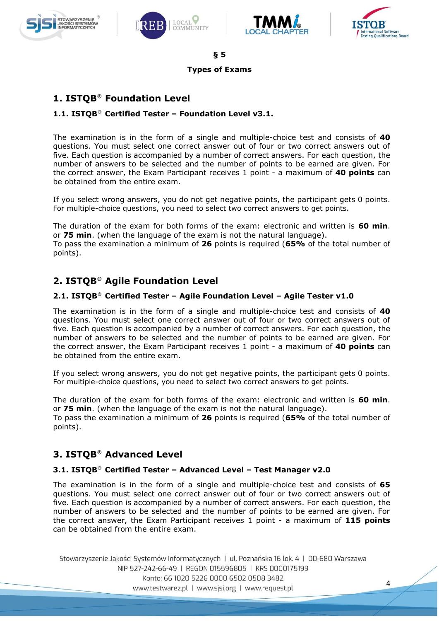







4

**§ 5**

#### **Types of Exams**

# **1. ISTQB**® **Foundation Level**

### **1.1. ISTQB**® **Certified Tester – Foundation Level v3.1.**

The examination is in the form of a single and multiple-choice test and consists of **40**  questions. You must select one correct answer out of four or two correct answers out of five. Each question is accompanied by a number of correct answers. For each question, the number of answers to be selected and the number of points to be earned are given. For the correct answer, the Exam Participant receives 1 point - a maximum of **40 points** can be obtained from the entire exam.

If you select wrong answers, you do not get negative points, the participant gets 0 points. For multiple-choice questions, you need to select two correct answers to get points.

The duration of the exam for both forms of the exam: electronic and written is **60 min**. or **75 min**. (when the language of the exam is not the natural language).

To pass the examination a minimum of **26** points is required (**65%** of the total number of points).

# **2. ISTQB**® **Agile Foundation Level**

### **2.1. ISTQB**® **Certified Tester – Agile Foundation Level – Agile Tester v1.0**

The examination is in the form of a single and multiple-choice test and consists of **40**  questions. You must select one correct answer out of four or two correct answers out of five. Each question is accompanied by a number of correct answers. For each question, the number of answers to be selected and the number of points to be earned are given. For the correct answer, the Exam Participant receives 1 point - a maximum of **40 points** can be obtained from the entire exam.

If you select wrong answers, you do not get negative points, the participant gets 0 points. For multiple-choice questions, you need to select two correct answers to get points.

The duration of the exam for both forms of the exam: electronic and written is **60 min**. or **75 min**. (when the language of the exam is not the natural language). To pass the examination a minimum of **26** points is required (**65%** of the total number of points).

# **3. ISTQB**® **Advanced Level**

### **3.1. ISTQB**® **Certified Tester – Advanced Level – Test Manager v2.0**

The examination is in the form of a single and multiple-choice test and consists of **65**  questions. You must select one correct answer out of four or two correct answers out of five. Each question is accompanied by a number of correct answers. For each question, the number of answers to be selected and the number of points to be earned are given. For the correct answer, the Exam Participant receives 1 point - a maximum of **115 points** can be obtained from the entire exam.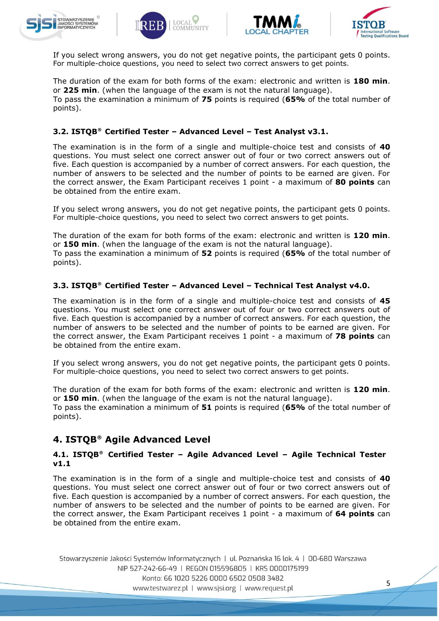







If you select wrong answers, you do not get negative points, the participant gets 0 points. For multiple-choice questions, you need to select two correct answers to get points.

The duration of the exam for both forms of the exam: electronic and written is **180 min**. or **225 min**. (when the language of the exam is not the natural language). To pass the examination a minimum of **75** points is required (**65%** of the total number of points).

### **3.2. ISTQB**® **Certified Tester – Advanced Level – Test Analyst v3.1.**

The examination is in the form of a single and multiple-choice test and consists of **40**  questions. You must select one correct answer out of four or two correct answers out of five. Each question is accompanied by a number of correct answers. For each question, the number of answers to be selected and the number of points to be earned are given. For the correct answer, the Exam Participant receives 1 point - a maximum of **80 points** can be obtained from the entire exam.

If you select wrong answers, you do not get negative points, the participant gets 0 points. For multiple-choice questions, you need to select two correct answers to get points.

The duration of the exam for both forms of the exam: electronic and written is **120 min**. or **150 min**. (when the language of the exam is not the natural language). To pass the examination a minimum of **52** points is required (**65%** of the total number of points).

### **3.3. ISTQB**® **Certified Tester – Advanced Level – Technical Test Analyst v4.0.**

The examination is in the form of a single and multiple-choice test and consists of **45**  questions. You must select one correct answer out of four or two correct answers out of five. Each question is accompanied by a number of correct answers. For each question, the number of answers to be selected and the number of points to be earned are given. For the correct answer, the Exam Participant receives 1 point - a maximum of **78 points** can be obtained from the entire exam.

If you select wrong answers, you do not get negative points, the participant gets 0 points. For multiple-choice questions, you need to select two correct answers to get points.

The duration of the exam for both forms of the exam: electronic and written is **120 min**. or **150 min**. (when the language of the exam is not the natural language). To pass the examination a minimum of **51** points is required (**65%** of the total number of points).

# **4. ISTQB**® **Agile Advanced Level**

### **4.1. ISTQB**® **Certified Tester – Agile Advanced Level – Agile Technical Tester v1.1**

The examination is in the form of a single and multiple-choice test and consists of **40**  questions. You must select one correct answer out of four or two correct answers out of five. Each question is accompanied by a number of correct answers. For each question, the number of answers to be selected and the number of points to be earned are given. For the correct answer, the Exam Participant receives 1 point - a maximum of **64 points** can be obtained from the entire exam.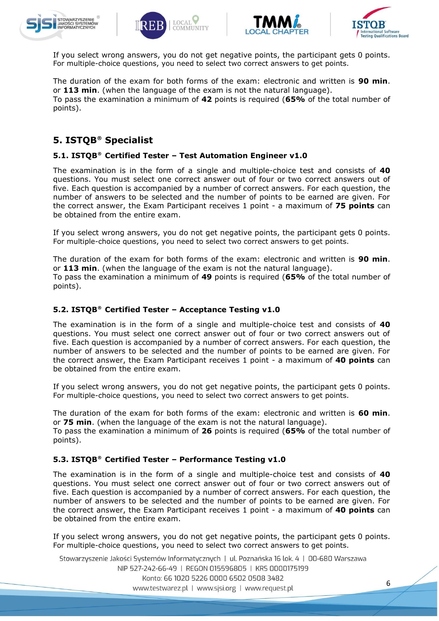







If you select wrong answers, you do not get negative points, the participant gets 0 points. For multiple-choice questions, you need to select two correct answers to get points.

The duration of the exam for both forms of the exam: electronic and written is **90 min**. or **113 min**. (when the language of the exam is not the natural language). To pass the examination a minimum of **42** points is required (**65%** of the total number of points).

# **5. ISTQB**® **Specialist**

### **5.1. ISTQB**® **Certified Tester – Test Automation Engineer v1.0**

The examination is in the form of a single and multiple-choice test and consists of **40**  questions. You must select one correct answer out of four or two correct answers out of five. Each question is accompanied by a number of correct answers. For each question, the number of answers to be selected and the number of points to be earned are given. For the correct answer, the Exam Participant receives 1 point - a maximum of **75 points** can be obtained from the entire exam.

If you select wrong answers, you do not get negative points, the participant gets 0 points. For multiple-choice questions, you need to select two correct answers to get points.

The duration of the exam for both forms of the exam: electronic and written is **90 min**. or **113 min**. (when the language of the exam is not the natural language).

To pass the examination a minimum of **49** points is required (**65%** of the total number of points).

### **5.2. ISTQB**® **Certified Tester – Acceptance Testing v1.0**

The examination is in the form of a single and multiple-choice test and consists of **40**  questions. You must select one correct answer out of four or two correct answers out of five. Each question is accompanied by a number of correct answers. For each question, the number of answers to be selected and the number of points to be earned are given. For the correct answer, the Exam Participant receives 1 point - a maximum of **40 points** can be obtained from the entire exam.

If you select wrong answers, you do not get negative points, the participant gets 0 points. For multiple-choice questions, you need to select two correct answers to get points.

The duration of the exam for both forms of the exam: electronic and written is **60 min**. or **75 min**. (when the language of the exam is not the natural language).

To pass the examination a minimum of **26** points is required (**65%** of the total number of points).

### **5.3. ISTQB**® **Certified Tester – Performance Testing v1.0**

The examination is in the form of a single and multiple-choice test and consists of **40**  questions. You must select one correct answer out of four or two correct answers out of five. Each question is accompanied by a number of correct answers. For each question, the number of answers to be selected and the number of points to be earned are given. For the correct answer, the Exam Participant receives 1 point - a maximum of **40 points** can be obtained from the entire exam.

If you select wrong answers, you do not get negative points, the participant gets 0 points. For multiple-choice questions, you need to select two correct answers to get points.

Stowarzyszenie Jakości Systemów Informatycznych | ul. Poznańska 16 lok. 4 | 00-680 Warszawa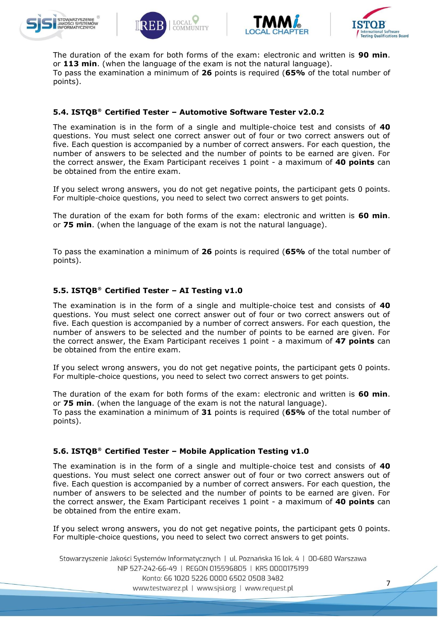







7

The duration of the exam for both forms of the exam: electronic and written is **90 min**. or **113 min**. (when the language of the exam is not the natural language). To pass the examination a minimum of **26** points is required (**65%** of the total number of points).

### **5.4. ISTQB**® **Certified Tester – Automotive Software Tester v2.0.2**

The examination is in the form of a single and multiple-choice test and consists of **40**  questions. You must select one correct answer out of four or two correct answers out of five. Each question is accompanied by a number of correct answers. For each question, the number of answers to be selected and the number of points to be earned are given. For the correct answer, the Exam Participant receives 1 point - a maximum of **40 points** can be obtained from the entire exam.

If you select wrong answers, you do not get negative points, the participant gets 0 points. For multiple-choice questions, you need to select two correct answers to get points.

The duration of the exam for both forms of the exam: electronic and written is **60 min**. or **75 min**. (when the language of the exam is not the natural language).

To pass the examination a minimum of **26** points is required (**65%** of the total number of points).

### **5.5. ISTQB**® **Certified Tester – AI Testing v1.0**

The examination is in the form of a single and multiple-choice test and consists of **40**  questions. You must select one correct answer out of four or two correct answers out of five. Each question is accompanied by a number of correct answers. For each question, the number of answers to be selected and the number of points to be earned are given. For the correct answer, the Exam Participant receives 1 point - a maximum of **47 points** can be obtained from the entire exam.

If you select wrong answers, you do not get negative points, the participant gets 0 points. For multiple-choice questions, you need to select two correct answers to get points.

The duration of the exam for both forms of the exam: electronic and written is **60 min**. or **75 min**. (when the language of the exam is not the natural language). To pass the examination a minimum of **31** points is required (**65%** of the total number of points).

### **5.6. ISTQB**® **Certified Tester – Mobile Application Testing v1.0**

The examination is in the form of a single and multiple-choice test and consists of **40**  questions. You must select one correct answer out of four or two correct answers out of five. Each question is accompanied by a number of correct answers. For each question, the number of answers to be selected and the number of points to be earned are given. For the correct answer, the Exam Participant receives 1 point - a maximum of **40 points** can be obtained from the entire exam.

If you select wrong answers, you do not get negative points, the participant gets 0 points. For multiple-choice questions, you need to select two correct answers to get points.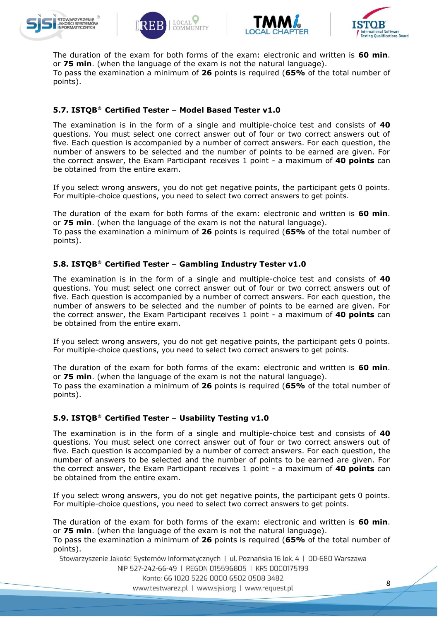







The duration of the exam for both forms of the exam: electronic and written is **60 min**. or **75 min**. (when the language of the exam is not the natural language). To pass the examination a minimum of **26** points is required (**65%** of the total number of points).

### **5.7. ISTQB**® **Certified Tester – Model Based Tester v1.0**

The examination is in the form of a single and multiple-choice test and consists of **40**  questions. You must select one correct answer out of four or two correct answers out of five. Each question is accompanied by a number of correct answers. For each question, the number of answers to be selected and the number of points to be earned are given. For the correct answer, the Exam Participant receives 1 point - a maximum of **40 points** can be obtained from the entire exam.

If you select wrong answers, you do not get negative points, the participant gets 0 points. For multiple-choice questions, you need to select two correct answers to get points.

The duration of the exam for both forms of the exam: electronic and written is **60 min**. or **75 min**. (when the language of the exam is not the natural language).

To pass the examination a minimum of **26** points is required (**65%** of the total number of points).

### **5.8. ISTQB**® **Certified Tester – Gambling Industry Tester v1.0**

The examination is in the form of a single and multiple-choice test and consists of **40**  questions. You must select one correct answer out of four or two correct answers out of five. Each question is accompanied by a number of correct answers. For each question, the number of answers to be selected and the number of points to be earned are given. For the correct answer, the Exam Participant receives 1 point - a maximum of **40 points** can be obtained from the entire exam.

If you select wrong answers, you do not get negative points, the participant gets 0 points. For multiple-choice questions, you need to select two correct answers to get points.

The duration of the exam for both forms of the exam: electronic and written is **60 min**. or **75 min**. (when the language of the exam is not the natural language).

To pass the examination a minimum of **26** points is required (**65%** of the total number of points).

### **5.9. ISTQB**® **Certified Tester – Usability Testing v1.0**

The examination is in the form of a single and multiple-choice test and consists of **40**  questions. You must select one correct answer out of four or two correct answers out of five. Each question is accompanied by a number of correct answers. For each question, the number of answers to be selected and the number of points to be earned are given. For the correct answer, the Exam Participant receives 1 point - a maximum of **40 points** can be obtained from the entire exam.

If you select wrong answers, you do not get negative points, the participant gets 0 points. For multiple-choice questions, you need to select two correct answers to get points.

The duration of the exam for both forms of the exam: electronic and written is **60 min**. or **75 min**. (when the language of the exam is not the natural language). To pass the examination a minimum of **26** points is required (**65%** of the total number of points).

Stowarzyszenie Jakości Systemów Informatycznych | ul. Poznańska 16 lok. 4 | 00-680 Warszawa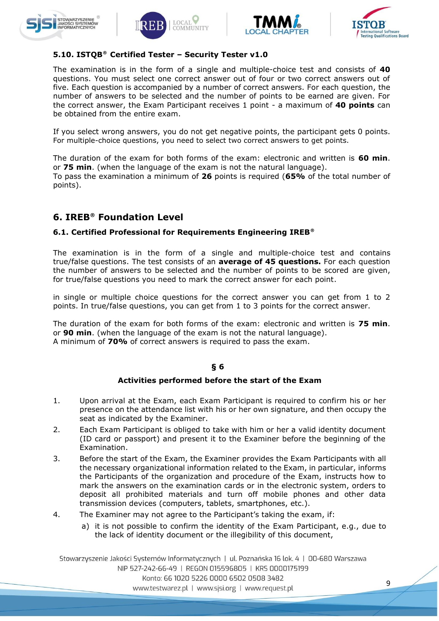







### **5.10. ISTQB**® **Certified Tester – Security Tester v1.0**

The examination is in the form of a single and multiple-choice test and consists of **40**  questions. You must select one correct answer out of four or two correct answers out of five. Each question is accompanied by a number of correct answers. For each question, the number of answers to be selected and the number of points to be earned are given. For the correct answer, the Exam Participant receives 1 point - a maximum of **40 points** can be obtained from the entire exam.

If you select wrong answers, you do not get negative points, the participant gets 0 points. For multiple-choice questions, you need to select two correct answers to get points.

The duration of the exam for both forms of the exam: electronic and written is **60 min**. or **75 min**. (when the language of the exam is not the natural language). To pass the examination a minimum of **26** points is required (**65%** of the total number of points).

# **6. IREB**® **Foundation Level**

### **6.1. Certified Professional for Requirements Engineering IREB**®

The examination is in the form of a single and multiple-choice test and contains true/false questions. The test consists of an **average of 45 questions.** For each question the number of answers to be selected and the number of points to be scored are given, for true/false questions you need to mark the correct answer for each point.

in single or multiple choice questions for the correct answer you can get from 1 to 2 points. In true/false questions, you can get from 1 to 3 points for the correct answer.

The duration of the exam for both forms of the exam: electronic and written is **75 min**. or **90 min**. (when the language of the exam is not the natural language). A minimum of **70%** of correct answers is required to pass the exam.

### **§ 6**

#### **Activities performed before the start of the Exam**

- 1. Upon arrival at the Exam, each Exam Participant is required to confirm his or her presence on the attendance list with his or her own signature, and then occupy the seat as indicated by the Examiner.
- 2. Each Exam Participant is obliged to take with him or her a valid identity document (ID card or passport) and present it to the Examiner before the beginning of the Examination.
- 3. Before the start of the Exam, the Examiner provides the Exam Participants with all the necessary organizational information related to the Exam, in particular, informs the Participants of the organization and procedure of the Exam, instructs how to mark the answers on the examination cards or in the electronic system, orders to deposit all prohibited materials and turn off mobile phones and other data transmission devices (computers, tablets, smartphones, etc.).
- 4. The Examiner may not agree to the Participant's taking the exam, if:
	- a) it is not possible to confirm the identity of the Exam Participant, e.g., due to the lack of identity document or the illegibility of this document,

Stowarzyszenie Jakości Systemów Informatycznych | ul. Poznańska 16 lok. 4 | 00-680 Warszawa NIP 527-242-66-49 | REGON 015596805 | KRS 0000175199 Konto: 66 1020 5226 0000 6502 0508 3482 www.testwarez.pl | www.sjsi.org | www.request.pl

9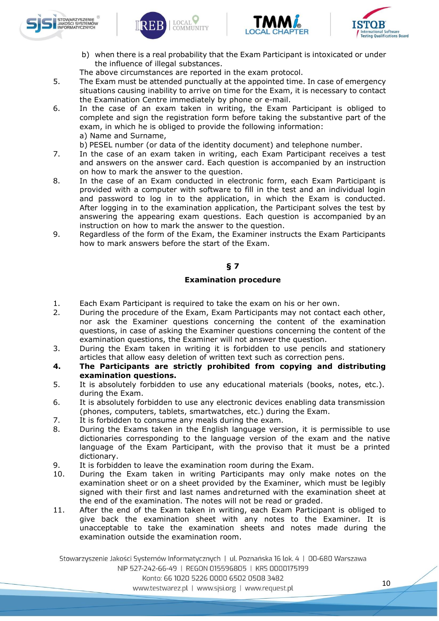







b) when there is a real probability that the Exam Participant is intoxicated or under the influence of illegal substances.

The above circumstances are reported in the exam protocol.

- 5. The Exam must be attended punctually at the appointed time. In case of emergency situations causing inability to arrive on time for the Exam, it is necessary to contact the Examination Centre immediately by phone or e-mail.
- 6. In the case of an exam taken in writing, the Exam Participant is obliged to complete and sign the registration form before taking the substantive part of the exam, in which he is obliged to provide the following information: a) Name and Surname,
	- b) PESEL number (or data of the identity document) and telephone number.
- 7. In the case of an exam taken in writing, each Exam Participant receives a test and answers on the answer card. Each question is accompanied by an instruction on how to mark the answer to the question.
- 8. In the case of an Exam conducted in electronic form, each Exam Participant is provided with a computer with software to fill in the test and an individual login and password to log in to the application, in which the Exam is conducted. After logging in to the examination application, the Participant solves the test by answering the appearing exam questions. Each question is accompanied by an instruction on how to mark the answer to the question.
- 9. Regardless of the form of the Exam, the Examiner instructs the Exam Participants how to mark answers before the start of the Exam.

### **§ 7**

### **Examination procedure**

- 1. Each Exam Participant is required to take the exam on his or her own.
- 2. During the procedure of the Exam, Exam Participants may not contact each other, nor ask the Examiner questions concerning the content of the examination questions, in case of asking the Examiner questions concerning the content of the examination questions, the Examiner will not answer the question.
- 3. During the Exam taken in writing it is forbidden to use pencils and stationery articles that allow easy deletion of written text such as correction pens.
- **4. The Participants are strictly prohibited from copying and distributing examination questions.**
- 5. It is absolutely forbidden to use any educational materials (books, notes, etc.). during the Exam.
- 6. It is absolutely forbidden to use any electronic devices enabling data transmission (phones, computers, tablets, smartwatches, etc.) during the Exam.
- 7. It is forbidden to consume any meals during the exam.
- 8. During the Exams taken in the English language version, it is permissible to use dictionaries corresponding to the language version of the exam and the native language of the Exam Participant, with the proviso that it must be a printed dictionary.
- 9. It is forbidden to leave the examination room during the Exam.
- 10. During the Exam taken in writing Participants may only make notes on the examination sheet or on a sheet provided by the Examiner, which must be legibly signed with their first and last names andreturned with the examination sheet at the end of the examination. The notes will not be read or graded.
- 11. After the end of the Exam taken in writing, each Exam Participant is obliged to give back the examination sheet with any notes to the Examiner. It is unacceptable to take the examination sheets and notes made during the examination outside the examination room.

Stowarzyszenie Jakości Systemów Informatycznych | ul. Poznańska 16 lok. 4 | 00-680 Warszawa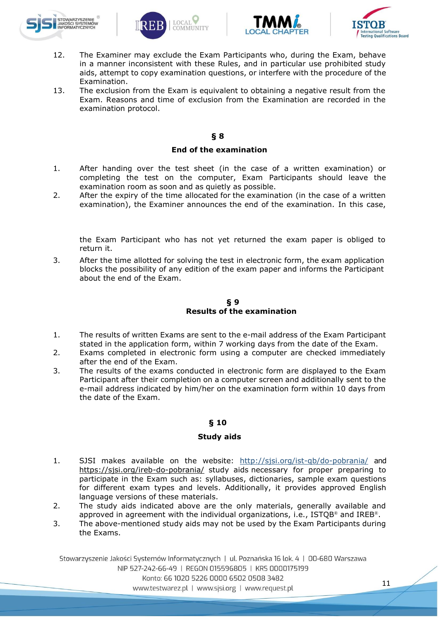







- 12. The Examiner may exclude the Exam Participants who, during the Exam, behave in a manner inconsistent with these Rules, and in particular use prohibited study aids, attempt to copy examination questions, or interfere with the procedure of the Examination.
- 13. The exclusion from the Exam is equivalent to obtaining a negative result from the Exam. Reasons and time of exclusion from the Examination are recorded in the examination protocol.

### **§ 8**

### **End of the examination**

- 1. After handing over the test sheet (in the case of a written examination) or completing the test on the computer, Exam Participants should leave the examination room as soon and as quietly as possible.
- 2. After the expiry of the time allocated for the examination (in the case of a written examination), the Examiner announces the end of the examination. In this case,

the Exam Participant who has not yet returned the exam paper is obliged to return it.

3. After the time allotted for solving the test in electronic form, the exam application blocks the possibility of any edition of the exam paper and informs the Participant about the end of the Exam.

### **§ 9 Results of the examination**

- 1. The results of written Exams are sent to the e-mail address of the Exam Participant stated in the application form, within 7 working days from the date of the Exam.
- 2. Exams completed in electronic form using a computer are checked immediately after the end of the Exam.
- 3. The results of the exams conducted in electronic form are displayed to the Exam Participant after their completion on a computer screen and additionally sent to the e-mail address indicated by him/her on the examination form within 10 days from the date of the Exam.

### **§ 10**

### **Study aids**

- 1. SJSI makes available on the website: <http://sjsi.org/ist-qb/do-pobrania/> and <https://sjsi.org/ireb-do-pobrania/> study aids necessary for proper preparing to participate in the Exam such as: syllabuses, dictionaries, sample exam questions for different exam types and levels. Additionally, it provides approved English language versions of these materials.
- 2. The study aids indicated above are the only materials, generally available and approved in agreement with the individual organizations, i.e.,  $ISTQB<sup>®</sup>$  and  $IREB<sup>®</sup>$ .
- 3. The above-mentioned study aids may not be used by the Exam Participants during the Exams.

Stowarzyszenie Jakości Systemów Informatycznych | ul. Poznańska 16 lok. 4 | 00-680 Warszawa NIP 527-242-66-49 | REGON 015596805 | KRS 0000175199 Konto: 66 1020 5226 0000 6502 0508 3482 www.testwarez.pl | www.sjsi.org | www.request.pl

11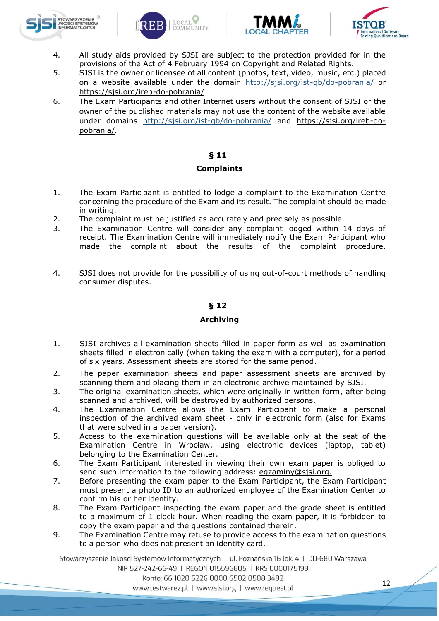







- 4. All study aids provided by SJSI are subject to the protection provided for in the provisions of the Act of 4 February 1994 on Copyright and Related Rights.
- 5. SJSI is the owner or licensee of all content (photos, text, video, music, etc.) placed on a website available under the domain <http://sjsi.org/ist-qb/do-pobrania/> or <https://sjsi.org/ireb-do-pobrania/>.
- 6. The Exam Participants and other Internet users without the consent of SJSI or the owner of the published materials may not use the content of the website available under domains <http://sjsi.org/ist-qb/do-pobrania/> and [https://sjsi.org/ireb-do](https://sjsi.org/ireb-do-pobrania/)[pobrania/](https://sjsi.org/ireb-do-pobrania/).

### **§ 11**

### **Complaints**

- 1. The Exam Participant is entitled to lodge a complaint to the Examination Centre concerning the procedure of the Exam and its result. The complaint should be made in writing.
- 2. The complaint must be justified as accurately and precisely as possible.
- 3. The Examination Centre will consider any complaint lodged within 14 days of receipt. The Examination Centre will immediately notify the Exam Participant who made the complaint about the results of the complaint procedure.
- 4. SJSI does not provide for the possibility of using out-of-court methods of handling consumer disputes.

### **§ 12**

### **Archiving**

- 1. SJSI archives all examination sheets filled in paper form as well as examination sheets filled in electronically (when taking the exam with a computer), for a period of six years. Assessment sheets are stored for the same period.
- 2. The paper examination sheets and paper assessment sheets are archived by scanning them and placing them in an electronic archive maintained by SJSI.
- 3. The original examination sheets, which were originally in written form, after being scanned and archived, will be destroyed by authorized persons.
- 4. The Examination Centre allows the Exam Participant to make a personal inspection of the archived exam sheet - only in electronic form (also for Exams that were solved in a paper version).
- 5. Access to the examination questions will be available only at the seat of the Examination Centre in Wrocław, using electronic devices (laptop, tablet) belonging to the Examination Center.
- 6. The Exam Participant interested in viewing their own exam paper is obliged to send such information to the following address: eqzaminy@sjsi.org.
- 7. Before presenting the exam paper to the Exam Participant, the Exam Participant must present a photo ID to an authorized employee of the Examination Center to confirm his or her identity.
- 8. The Exam Participant inspecting the exam paper and the grade sheet is entitled to a maximum of 1 clock hour. When reading the exam paper, it is forbidden to copy the exam paper and the questions contained therein.
- 9. The Examination Centre may refuse to provide access to the examination questions to a person who does not present an identity card.

Stowarzyszenie Jakości Systemów Informatycznych | ul. Poznańska 16 lok. 4 | 00-680 Warszawa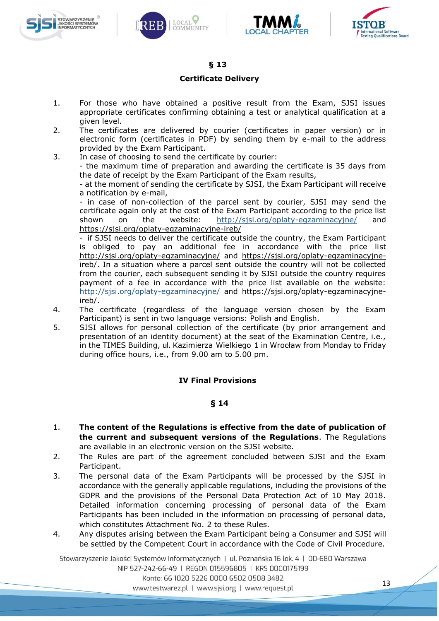







### **§ 13**

#### **Certificate Delivery**

- 1. For those who have obtained a positive result from the Exam, SJSI issues appropriate certificates confirming obtaining a test or analytical qualification at a given level.
- 2. The certificates are delivered by courier (certificates in paper version) or in electronic form (certificates in PDF) by sending them by e-mail to the address provided by the Exam Participant.
- 3. In case of choosing to send the certificate by courier: - the maximum time of preparation and awarding the certificate is 35 days from the date of receipt by the Exam Participant of the Exam results,

- at the moment of sending the certificate by SJSI, the Exam Participant will receive a notification by e-mail,

- in case of non-collection of the parcel sent by courier, SJSI may send the certificate again only at the cost of the Exam Participant according to the price list shown on the website: <http://sjsi.org/oplaty-egzaminacyjne/> and <https://sjsi.org/oplaty-egzaminacyjne-ireb/>

- if SJSI needs to deliver the certificate outside the country, the Exam Participant is obliged to pay an additional fee in accordance with the price list <http://sjsi.org/oplaty-egzaminacyjne/> and [https://sjsi.org/oplaty-egzaminacyjne](https://sjsi.org/oplaty-egzaminacyjne-ireb/)[ireb/.](https://sjsi.org/oplaty-egzaminacyjne-ireb/) In a situation where a parcel sent outside the country will not be collected from the courier, each subsequent sending it by SJSI outside the country requires payment of a fee in accordance with the price list available on the website: <http://sjsi.org/oplaty-egzaminacyjne/> and [https://sjsi.org/oplaty-egzaminacyjne](https://sjsi.org/oplaty-egzaminacyjne-ireb/)[ireb/.](https://sjsi.org/oplaty-egzaminacyjne-ireb/)

- 4. The certificate (regardless of the language version chosen by the Exam Participant) is sent in two language versions: Polish and English.
- 5. SJSI allows for personal collection of the certificate (by prior arrangement and presentation of an identity document) at the seat of the Examination Centre, i.e., in the TIMES Building, ul. Kazimierza Wielkiego 1 in Wrocław from Monday to Friday during office hours, i.e., from 9.00 am to 5.00 pm.

### **IV Final Provisions**

### **§ 14**

- 1. **The content of the Regulations is effective from the date of publication of the current and subsequent versions of the Regulations**. The Regulations are available in an electronic version on the SJSI website.
- 2. The Rules are part of the agreement concluded between SJSI and the Exam Participant.
- 3. The personal data of the Exam Participants will be processed by the SJSI in accordance with the generally applicable regulations, including the provisions of the GDPR and the provisions of the Personal Data Protection Act of 10 May 2018. Detailed information concerning processing of personal data of the Exam Participants has been included in the information on processing of personal data, which constitutes Attachment No. 2 to these Rules.
- 4. Any disputes arising between the Exam Participant being a Consumer and SJSI will be settled by the Competent Court in accordance with the Code of Civil Procedure.

Stowarzyszenie Jakości Systemów Informatycznych | ul. Poznańska 16 lok. 4 | 00-680 Warszawa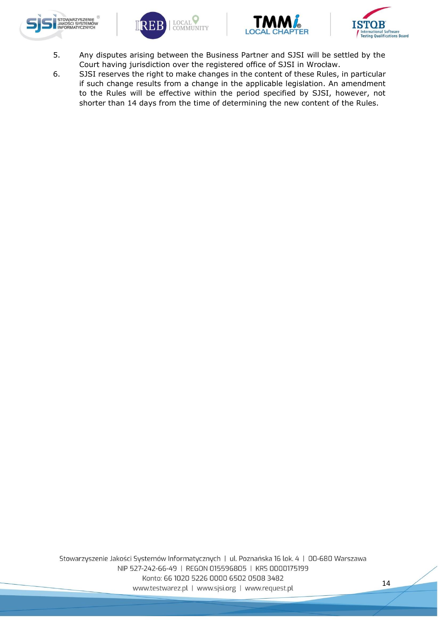







- 5. Any disputes arising between the Business Partner and SJSI will be settled by the Court having jurisdiction over the registered office of SJSI in Wrocław.
- 6. SJSI reserves the right to make changes in the content of these Rules, in particular if such change results from a change in the applicable legislation. An amendment to the Rules will be effective within the period specified by SJSI, however, not shorter than 14 days from the time of determining the new content of the Rules.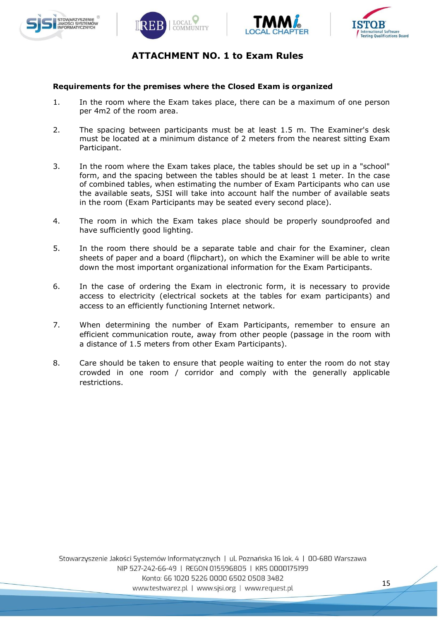







### **ATTACHMENT NO. 1 to Exam Rules**

### **Requirements for the premises where the Closed Exam is organized**

- 1. In the room where the Exam takes place, there can be a maximum of one person per 4m2 of the room area.
- 2. The spacing between participants must be at least 1.5 m. The Examiner's desk must be located at a minimum distance of 2 meters from the nearest sitting Exam Participant.
- 3. In the room where the Exam takes place, the tables should be set up in a "school" form, and the spacing between the tables should be at least 1 meter. In the case of combined tables, when estimating the number of Exam Participants who can use the available seats, SJSI will take into account half the number of available seats in the room (Exam Participants may be seated every second place).
- 4. The room in which the Exam takes place should be properly soundproofed and have sufficiently good lighting.
- 5. In the room there should be a separate table and chair for the Examiner, clean sheets of paper and a board (flipchart), on which the Examiner will be able to write down the most important organizational information for the Exam Participants.
- 6. In the case of ordering the Exam in electronic form, it is necessary to provide access to electricity (electrical sockets at the tables for exam participants) and access to an efficiently functioning Internet network.
- 7. When determining the number of Exam Participants, remember to ensure an efficient communication route, away from other people (passage in the room with a distance of 1.5 meters from other Exam Participants).
- 8. Care should be taken to ensure that people waiting to enter the room do not stay crowded in one room / corridor and comply with the generally applicable restrictions.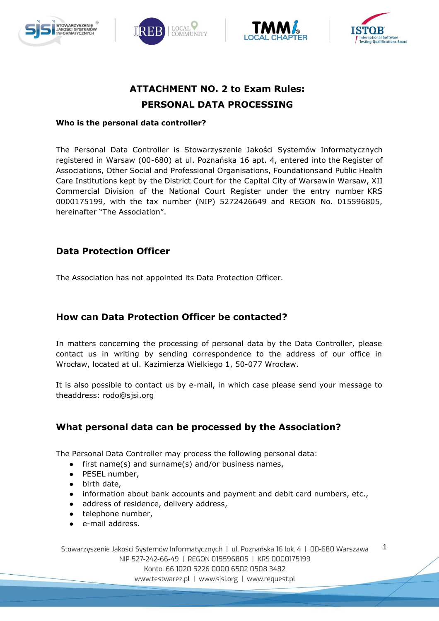







# **ATTACHMENT NO. 2 to Exam Rules: PERSONAL DATA PROCESSING**

### **Who is the personal data controller?**

The Personal Data Controller is Stowarzyszenie Jakości Systemów Informatycznych registered in Warsaw (00-680) at ul. Poznańska 16 apt. 4, entered into the Register of Associations, Other Social and Professional Organisations, Foundationsand Public Health Care Institutions kept by the District Court for the Capital City of Warsawin Warsaw, XII Commercial Division of the National Court Register under the entry number KRS 0000175199, with the tax number (NIP) 5272426649 and REGON No. 015596805, hereinafter "The Association".

# **Data Protection Officer**

The Association has not appointed its Data Protection Officer.

# **How can Data Protection Officer be contacted?**

In matters concerning the processing of personal data by the Data Controller, please contact us in writing by sending correspondence to the address of our office in Wrocław, located at ul. Kazimierza Wielkiego 1, 50-077 Wrocław.

It is also possible to contact us by e-mail, in which case please send your message to theaddress: [rodo@sjsi.org](mailto:rodo@sjsi.org)

# **What personal data can be processed by the Association?**

The Personal Data Controller may process the following personal data:

- first name(s) and surname(s) and/or business names,
- PESEL number,
- birth date,
- information about bank accounts and payment and debit card numbers, etc.,
- address of residence, delivery address,
- telephone number,
- e-mail address.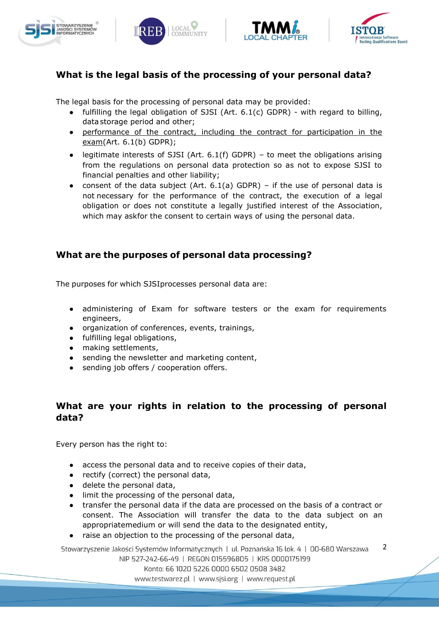







# **What is the legal basis of the processing of your personal data?**

The legal basis for the processing of personal data may be provided:

- fulfilling the legal obligation of SJSI (Art. 6.1(c) GDPR) with regard to billing, data storage period and other;
- performance of the contract, including the contract for participation in the  $exam(Art. 6.1(b) GDPR);$
- legitimate interests of SJSI (Art.  $6.1(f)$  GDPR) to meet the obligations arising from the regulations on personal data protection so as not to expose SJSI to financial penalties and other liability;
- consent of the data subject (Art.  $6.1(a)$  GDPR) if the use of personal data is not necessary for the performance of the contract, the execution of a legal obligation or does not constitute a legally justified interest of the Association, which may askfor the consent to certain ways of using the personal data.

# **What are the purposes of personal data processing?**

The purposes for which SJSIprocesses personal data are:

- administering of Exam for software testers or the exam for requirements engineers,
- organization of conferences, events, trainings,
- fulfilling legal obligations,
- making settlements,
- sending the newsletter and marketing content,
- sending job offers / cooperation offers.

# **What are your rights in relation to the processing of personal data?**

Every person has the right to:

- access the personal data and to receive copies of their data,
- rectify (correct) the personal data,
- delete the personal data,
- limit the processing of the personal data,
- transfer the personal data if the data are processed on the basis of a contract or consent. The Association will transfer the data to the data subject on an appropriatemedium or will send the data to the designated entity,
- raise an objection to the processing of the personal data,

2 Stowarzyszenie Jakości Systemów Informatycznych | ul. Poznańska 16 lok. 4 | 00-680 Warszawa NIP 527-242-66-49 | REGON 015596805 | KRS 0000175199

Konto: 66 1020 5226 0000 6502 0508 3482

www.testwarez.pl | www.sjsi.org | www.request.pl